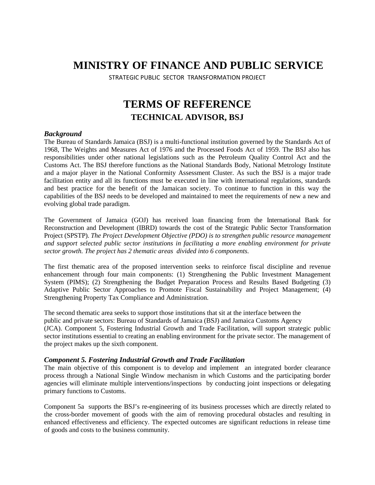# **MINISTRY OF FINANCE AND PUBLIC SERVICE**

STRATEGIC PUBLIC SECTOR TRANSFORMATION PROJECT

# **TERMS OF REFERENCE TECHNICAL ADVISOR, BSJ**

### *Background*

The Bureau of Standards Jamaica (BSJ) is a multi-functional institution governed by the Standards Act of 1968, The Weights and Measures Act of 1976 and the Processed Foods Act of 1959. The BSJ also has responsibilities under other national legislations such as the Petroleum Quality Control Act and the Customs Act. The BSJ therefore functions as the National Standards Body, National Metrology Institute and a major player in the National Conformity Assessment Cluster. As such the BSJ is a major trade facilitation entity and all its functions must be executed in line with international regulations, standards and best practice for the benefit of the Jamaican society. To continue to function in this way the capabilities of the BSJ needs to be developed and maintained to meet the requirements of new a new and evolving global trade paradigm.

The Government of Jamaica (GOJ) has received loan financing from the International Bank for Reconstruction and Development (IBRD) towards the cost of the Strategic Public Sector Transformation Project (SPSTP). *The Project Development Objective (PDO) is to strengthen public resource management and support selected public sector institutions in facilitating a more enabling environment for private sector growth. The project has 2 thematic areas divided into 6 components.*

The first thematic area of the proposed intervention seeks to reinforce fiscal discipline and revenue enhancement through four main components: (1) Strengthening the Public Investment Management System (PIMS); (2) Strengthening the Budget Preparation Process and Results Based Budgeting (3) Adaptive Public Sector Approaches to Promote Fiscal Sustainability and Project Management; (4) Strengthening Property Tax Compliance and Administration.

The second thematic area seeks to support those institutions that sit at the interface between the public and private sectors: Bureau of Standards of Jamaica (BSJ) and Jamaica Customs Agency (JCA). Component 5, Fostering Industrial Growth and Trade Facilitation, will support strategic public sector institutions essential to creating an enabling environment for the private sector. The management of the project makes up the sixth component.

### *Component 5. Fostering Industrial Growth and Trade Facilitation*

The main objective of this component is to develop and implement an integrated border clearance process through a National Single Window mechanism in which Customs and the participating border agencies will eliminate multiple interventions/inspections by conducting joint inspections or delegating primary functions to Customs.

Component 5a supports the BSJ's re-engineering of its business processes which are directly related to the cross-border movement of goods with the aim of removing procedural obstacles and resulting in enhanced effectiveness and efficiency. The expected outcomes are significant reductions in release time of goods and costs to the business community.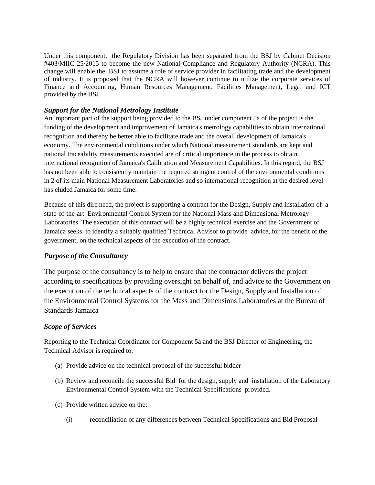Under this component, the Regulatory Division has been separated from the BSJ by Cabinet Decision #403/MIIC 25/2015 to become the new National Compliance and Regulatory Authority (NCRA). This change will enable the BSJ to assume a role of service provider in facilitating trade and the development of industry. It is proposed that the NCRA will however continue to utilize the corporate services of Finance and Accounting, Human Resources Management, Facilities Management, Legal and ICT provided by the BSJ.

## *Support for the National Metrology Institute*

An important part of the support being provided to the BSJ under component 5a of the project is the funding of the development and improvement of Jamaica's metrology capabilities to obtain international recognition and thereby be better able to facilitate trade and the overall development of Jamaica's economy. The environmental conditions under which National measurement standards are kept and national traceability measurements executed are of critical importance in the process to obtain international recognition of Jamaica's Calibration and Measurement Capabilities. In this regard, the BSJ has not been able to consistently maintain the required stringent control of the environmental conditions in 2 of its main National Measurement Laboratories and so international recognition at the desired level has eluded Jamaica for some time.

Because of this dire need, the project is supporting a contract for the Design, Supply and Installation of a state-of-the-art Environmental Control System for the National Mass and Dimensional Metrology Laboratories. The execution of this contract will be a highly technical exercise and the Government of Jamaica seeks to identify a suitably qualified Technical Advisor to provide advice, for the benefit of the government, on the technical aspects of the execution of the contract.

## *Purpose of the Consultancy*

The purpose of the consultancy is to help to ensure that the contractor delivers the project according to specifications by providing oversight on behalf of, and advice to the Government on the execution of the technical aspects of the contract for the Design, Supply and Installation of the Environmental Control Systems for the Mass and Dimensions Laboratories at the Bureau of Standards Jamaica

## *Scope of Services*

Reporting to the Technical Coordinator for Component 5a and the BSJ Director of Engineering, the Technical Advisor is required to:

- (a) Provide advice on the technical proposal of the successful bidder
- (b) Review and reconcile the successful Bid for the design, supply and installation of the Laboratory Environmental Control System with the Technical Specifications provided.
- (c) Provide written advice on the:
	- (i) reconciliation of any differences between Technical Specifications and Bid Proposal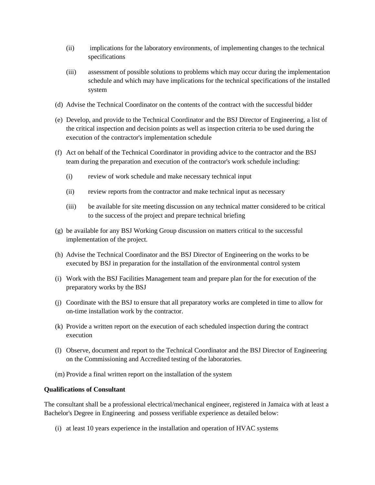- (ii) implications for the laboratory environments, of implementing changes to the technical specifications
- (iii) assessment of possible solutions to problems which may occur during the implementation schedule and which may have implications for the technical specifications of the installed system
- (d) Advise the Technical Coordinator on the contents of the contract with the successful bidder
- (e) Develop, and provide to the Technical Coordinator and the BSJ Director of Engineering, a list of the critical inspection and decision points as well as inspection criteria to be used during the execution of the contractor's implementation schedule
- (f) Act on behalf of the Technical Coordinator in providing advice to the contractor and the BSJ team during the preparation and execution of the contractor's work schedule including:
	- (i) review of work schedule and make necessary technical input
	- (ii) review reports from the contractor and make technical input as necessary
	- (iii) be available for site meeting discussion on any technical matter considered to be critical to the success of the project and prepare technical briefing
- (g) be available for any BSJ Working Group discussion on matters critical to the successful implementation of the project.
- (h) Advise the Technical Coordinator and the BSJ Director of Engineering on the works to be executed by BSJ in preparation for the installation of the environmental control system
- (i) Work with the BSJ Facilities Management team and prepare plan for the for execution of the preparatory works by the BSJ
- (j) Coordinate with the BSJ to ensure that all preparatory works are completed in time to allow for on-time installation work by the contractor.
- (k) Provide a written report on the execution of each scheduled inspection during the contract execution
- (l) Observe, document and report to the Technical Coordinator and the BSJ Director of Engineering on the Commissioning and Accredited testing of the laboratories.
- (m) Provide a final written report on the installation of the system

### **Qualifications of Consultant**

The consultant shall be a professional electrical/mechanical engineer, registered in Jamaica with at least a Bachelor's Degree in Engineering and possess verifiable experience as detailed below:

(i) at least 10 years experience in the installation and operation of HVAC systems